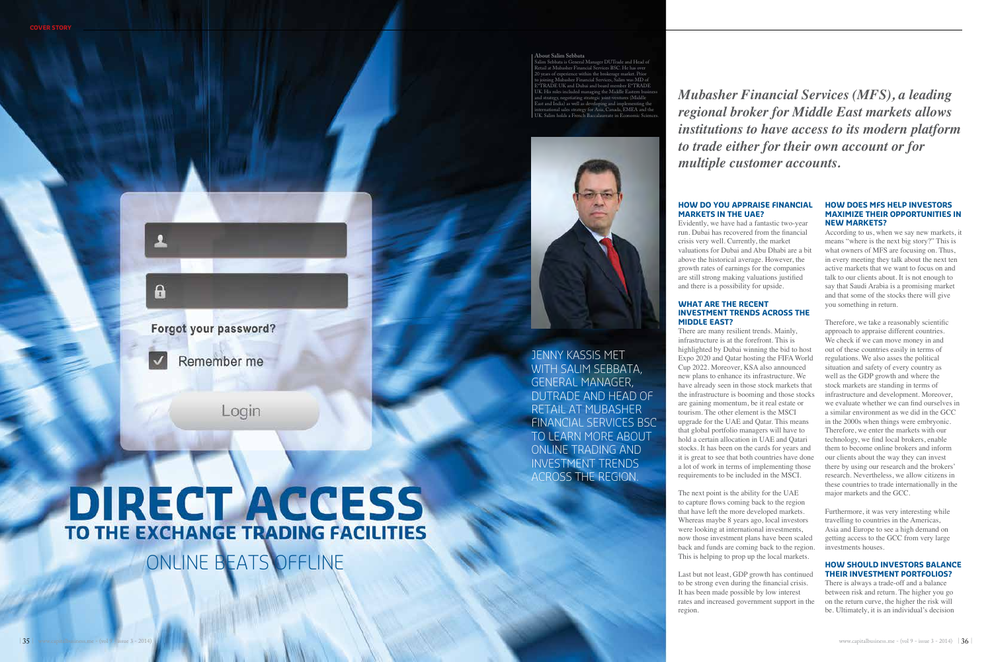### **How do y ou appr aise financ a MARKETS IN THE UAE?**

Evidently, we have had a fantastic two-year run. Dubai has recovered from the financial crisis very well. Currently, the market valuations for Dubai and Abu Dhabi are a bit above the historical average. However, the growth rates of earnings for the companies are still strong making valuations justified and there is a possibility for upside.

### **HOW DOES MFS HELP INVE MAXIMIZE THEIR OPPORTUNITIES IN i nEW MARKETS?**

### **What are the recent investment TRENDS ACROSS THE Middle East ?**

There are many resilient trends. Mainly, infrastructure is at the forefront. This is highlighted by Dubai winning the bid to host Expo 2020 and Qatar hosting the FIFA World Cup 2022. Moreover, KSA also announced new plans to enhance its infrastructure. We have already seen in those stock markets that the infrastructure is booming and those stocks are gaining momentum, be it real estate or tourism. The other element is the MSCI upgrade for the UAE and Qatar. This means that global portfolio managers will have to hold a certain allocation in UAE and Qatari stocks. It has been on the cards for years and it is great to see that both countries have done a lot of work in terms of implementing those requirements to be included in the MSCI.

The next point is the ability for the UAE to capture flows coming back to the region that have left the more developed markets. Whereas maybe 8 years ago, local investors were looking at international investments, now those investment plans have been scaled back and funds are coming back to the region. This is helping to prop up the local markets.

Last but not least, GDP growth has continued to be strong even during the financial crisis. It has been made possible by low interest rates and increased government support in the region.





 $\mathbf{R}$ 

Remember me

Login

# **DIRECT ACCESS** TO THE EXCHANGE TRADING FACILITIES

ONLINE BEATS OFFLINE

According to us, when we say new markets, it means "where is the next big story?" This is what owners of MFS are focusing on. Thus, in every meeting they talk about the next ten active markets that we want to focus on and talk to our clients about. It is not enough to say that Saudi Arabia is a promising market and that some of the stocks there will give you something in return.

DUTrade and Head o RETAIL AT MUBASHER F inancial Services BSC to learn more abou t onl ine trad ing and i n ves tmen t trends ACROSS THE REGION.



Therefore, we take a reasonably scientific approach to appraise different countries. We check if we can move money in and out of these countries easily in terms of regulations. We also asses the political situation and safety of every country as well as the GDP growth and where the stock markets are standing in terms of infrastructure and development. Moreover, we evaluate whether we can find ourselves in a similar environment as we did in the GCC in the 2000s when things were embryonic. Therefore, we enter the markets with our technology, we find local brokers, enable them to become online brokers and inform our clients about the way they can invest there by using our research and the brokers' research. Nevertheless, we allow citizens in these countries to trade internationally in the major markets and the GCC.

Furthermore, it was very interesting while travelling to countries in the Americas, Asia and Europe to see a high demand on getting access to the GCC from very large investments houses.

### **HOW SHOULD INVESTORS BALANCE THEIR INVESTMENT PORTFOLIOS?**

There is always a trade-off and a balance between risk and return. The higher you go on the return curve, the higher the risk will be. Ultimately, it is an individual's decision

### **About Salim Sebbata**

Salim Sebbata is General Manager DUTrade and Head of Retail at Mubasher Financial Services BSC. He has over 20 years of experience within the brokerage market. Prior to joining Mubasher Financial Services, Salim was MD of E\*TRADE UK and Dubai and board member E\*TRADE UK. His roles included managing the Middle Eastern business and strategy, negotiating strategic joint-ventures (Middle East and India) as well as developing and implementing the international sales strategy for Asia, Canada, EMEA and the UK. Salim holds a French Baccalaureate in Economic Sciences.

Jenny Kassis met

WITH SALIM SEBBATA,<br>GENERAL MANAGER,

*Mubasher Financial Services (MFS), a leading regional broker for Middle East markets allows institutions to have access to its modern platform to trade either for their own account or for multiple customer accounts.*